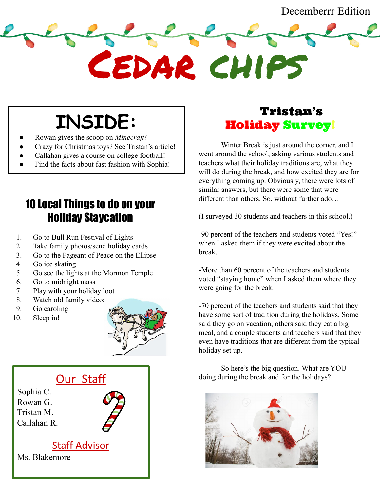**INSIDE:**

- Rowan gives the scoop on *Minecraft!*
- Crazy for Christmas toys? See Tristan's article!
- Callahan gives a course on college football!
- Find the facts about fast fashion with Sophia!

## 10 Local Things to do on your Holiday Staycation

- 1. Go to Bull Run Festival of Lights
- 2. Take family photos/send holiday cards
- 3. Go to the Pageant of Peace on the Ellipse
- 4. Go ice skating
- 5. Go see the lights at the Mormon Temple
- 6. Go to midnight mass
- 7. Play with your holiday loot
- 8. Watch old family videos
- 9. Go caroling
- 10. Sleep in!





### Tristan's Holiday Survey!

Cedar chips

Winter Break is just around the corner, and I went around the school, asking various students and teachers what their holiday traditions are, what they will do during the break, and how excited they are for everything coming up. Obviously, there were lots of similar answers, but there were some that were different than others. So, without further ado…

(I surveyed 30 students and teachers in this school.)

-90 percent of the teachers and students voted "Yes!" when I asked them if they were excited about the break.

-More than 60 percent of the teachers and students voted "staying home" when I asked them where they were going for the break.

-70 percent of the teachers and students said that they have some sort of tradition during the holidays. Some said they go on vacation, others said they eat a big meal, and a couple students and teachers said that they even have traditions that are different from the typical holiday set up.

So here's the big question. What are YOU doing during the break and for the holidays?

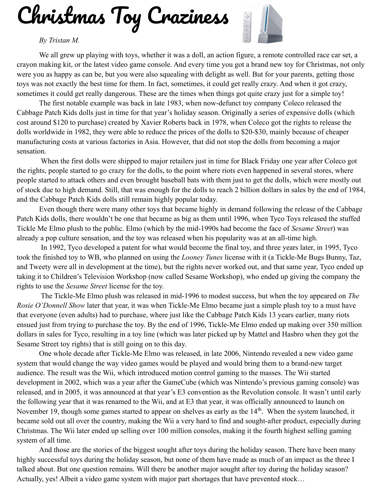Christmas Toy Craziness

#### *By Tristan M.*



We all grew up playing with toys, whether it was a doll, an action figure, a remote controlled race car set, a crayon making kit, or the latest video game console. And every time you got a brand new toy for Christmas, not only were you as happy as can be, but you were also squealing with delight as well. But for your parents, getting those toys was not exactly the best time for them. In fact, sometimes, it could get really crazy. And when it got crazy, sometimes it could get really dangerous. These are the times when things got quite crazy just for a simple toy!

The first notable example was back in late 1983, when now-defunct toy company Coleco released the Cabbage Patch Kids dolls just in time for that year's holiday season. Originally a series of expensive dolls (which cost around \$120 to purchase) created by Xavier Roberts back in 1978, when Coleco got the rights to release the dolls worldwide in 1982, they were able to reduce the prices of the dolls to \$20-\$30, mainly because of cheaper manufacturing costs at various factories in Asia. However, that did not stop the dolls from becoming a major sensation.

 When the first dolls were shipped to major retailers just in time for Black Friday one year after Coleco got the rights, people started to go crazy for the dolls, to the point where riots even happened in several stores, where people started to attack others and even brought baseball bats with them just to get the dolls, which were mostly out of stock due to high demand. Still, that was enough for the dolls to reach 2 billion dollars in sales by the end of 1984, and the Cabbage Patch Kids dolls still remain highly popular today.

Even though there were many other toys that became highly in demand following the release of the Cabbage Patch Kids dolls, there wouldn't be one that became as big as them until 1996, when Tyco Toys released the stuffed Tickle Me Elmo plush to the public. Elmo (which by the mid-1990s had become the face of *Sesame Street*) was already a pop culture sensation, and the toy was released when his popularity was at an all-time high.

 In 1992, Tyco developed a patent for what would become the final toy, and three years later, in 1995, Tyco took the finished toy to WB, who planned on using the *Looney Tunes* license with it (a Tickle-Me Bugs Bunny, Taz, and Tweety were all in development at the time), but the rights never worked out, and that same year, Tyco ended up taking it to Children's Television Workshop (now called Sesame Workshop), who ended up giving the company the rights to use the *Sesame Street* license for the toy.

 The Tickle-Me Elmo plush was released in mid-1996 to modest success, but when the toy appeared on *The Rosie O'Donnell Show* later that year, it was when Tickle-Me Elmo became just a simple plush toy to a must have that everyone (even adults) had to purchase, where just like the Cabbage Patch Kids 13 years earlier, many riots ensued just from trying to purchase the toy. By the end of 1996, Tickle-Me Elmo ended up making over 350 million dollars in sales for Tyco, resulting in a toy line (which was later picked up by Mattel and Hasbro when they got the Sesame Street toy rights) that is still going on to this day.

One whole decade after Tickle-Me Elmo was released, in late 2006, Nintendo revealed a new video game system that would change the way video games would be played and would bring them to a brand-new target audience. The result was the Wii, which introduced motion control gaming to the masses. The Wii started development in 2002, which was a year after the GameCube (which was Nintendo's previous gaming console) was released, and in 2005, it was announced at that year's E3 convention as the Revolution console. It wasn't until early the following year that it was renamed to the Wii, and at E3 that year, it was officially announced to launch on November 19, though some games started to appear on shelves as early as the 14<sup>th</sup>. When the system launched, it became sold out all over the country, making the Wii a very hard to find and sought-after product, especially during Christmas. The Wii later ended up selling over 100 million consoles, making it the fourth highest selling gaming system of all time.

And those are the stories of the biggest sought after toys during the holiday season. There have been many highly successful toys during the holiday season, but none of them have made as much of an impact as the three I talked about. But one question remains. Will there be another major sought after toy during the holiday season? Actually, yes! Albeit a video game system with major part shortages that have prevented stock…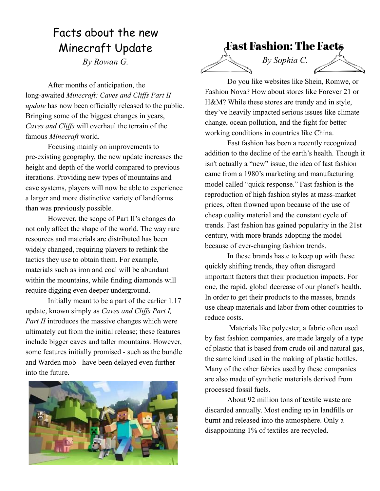## Facts about the new Minecraft Update

*By Rowan G.*

After months of anticipation, the long-awaited *Minecraft: Caves and Cliffs Part II update* has now been officially released to the public. Bringing some of the biggest changes in years, *Caves and Cliffs* will overhaul the terrain of the famous *Minecraft* world.

Focusing mainly on improvements to pre-existing geography, the new update increases the height and depth of the world compared to previous iterations. Providing new types of mountains and cave systems, players will now be able to experience a larger and more distinctive variety of landforms than was previously possible.

However, the scope of Part II's changes do not only affect the shape of the world. The way rare resources and materials are distributed has been widely changed, requiring players to rethink the tactics they use to obtain them. For example, materials such as iron and coal will be abundant within the mountains, while finding diamonds will require digging even deeper underground.

Initially meant to be a part of the earlier 1.17 update, known simply as *Caves and Cliffs Part I, Part II* introduces the massive changes which were ultimately cut from the initial release; these features include bigger caves and taller mountains. However, some features initially promised - such as the bundle and Warden mob - have been delayed even further into the future.





Do you like websites like Shein, Romwe, or Fashion Nova? How about stores like Forever 21 or H&M? While these stores are trendy and in style, they've heavily impacted serious issues like climate change, ocean pollution, and the fight for better working conditions in countries like China.

Fast fashion has been a recently recognized addition to the decline of the earth's health. Though it isn't actually a "new" issue, the idea of fast fashion came from a 1980's marketing and manufacturing model called "quick response." Fast fashion is the reproduction of high fashion styles at mass-market prices, often frowned upon because of the use of cheap quality material and the constant cycle of trends. Fast fashion has gained popularity in the 21st century, with more brands adopting the model because of ever-changing fashion trends.

In these brands haste to keep up with these quickly shifting trends, they often disregard important factors that their production impacts. For one, the rapid, global decrease of our planet's health. In order to get their products to the masses, brands use cheap materials and labor from other countries to reduce costs.

 Materials like polyester, a fabric often used by fast fashion companies, are made largely of a type of plastic that is based from crude oil and natural gas, the same kind used in the making of plastic bottles. Many of the other fabrics used by these companies are also made of synthetic materials derived from processed fossil fuels.

About 92 million tons of textile waste are discarded annually. Most ending up in landfills or burnt and released into the atmosphere. Only a disappointing 1% of textiles are recycled.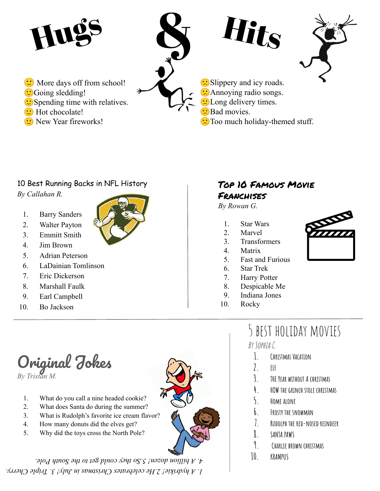

#### 10 Best Running Backs in NFL History

*By Callahan R.*

- 1. Barry Sanders
- 2. Walter Payton
- 3. Emmitt Smith



- 5. Adrian Peterson
- 6. LaDainian Tomlinson

Original Jokes

1. What do you call a nine headed cookie? 2. What does Santa do during the summer?

4. How many donuts did the elves get? 5. Why did the toys cross the North Pole?

- 7. Eric Dickerson
- 8. Marshall Faulk
- 9. Earl Campbell
- 10. Bo Jackson

*By Tristan M.* 

#### Top 10 Famous Movie Franchises

*By Rowan G.*

- 1. Star Wars
- 2. Marvel
- 3. Transformers
- 4. Matrix
- 5. Fast and Furious
- 6. Star Trek
- 7. Harry Potter
- 8. Despicable Me
- 9. Indiana Jones
- 10. Rocky

# 5 best holiday movies

By Sophia C.

- **1. Christmas Vacation**
- **2. ELF**
- **3. THE Year without A christmas**
- **4. HOW the grinch stole christmas**
- **5. Home alone**
- **6. Frosty the snowman**
- **7. Rudolph the red-nosed reindeer**
- **8. SANTA PAWS**
- **9. Charlie brown christmas**
- **10. KRAMPUS**
- 3. What is Rudolph's favorite ice cream flavor?

*1. A hydrikie! 2.He celebrates Christmas in July! 3. Triple Cherry. 4. A billion dozen! 5.So they could get to the South Pole.* 

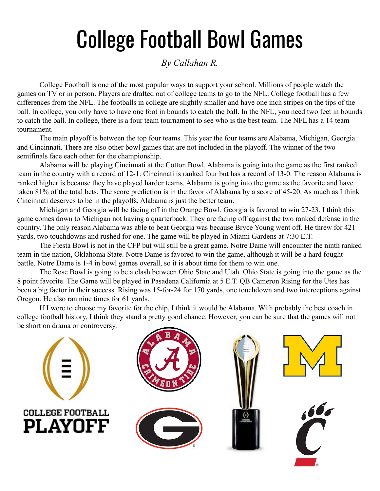# College Football Bowl Games

#### *By Callahan R.*

College Football is one of the most popular ways to support your school. Millions of people watch the games on TV or in person. Players are drafted out of college teams to go to the NFL. College football has a few differences from the NFL. The footballs in college are slightly smaller and have one inch stripes on the tips of the ball. In college, you only have to have one foot in bounds to catch the ball. In the NFL, you need two feet in bounds to catch the ball. In college, there is a four team tournament to see who is the best team. The NFL has a 14 team tournament.

The main playoff is between the top four teams. This year the four teams are Alabama, Michigan, Georgia and Cincinnati. There are also other bowl games that are not included in the playoff. The winner of the two semifinals face each other for the championship.

Alabama will be playing Cincinnati at the Cotton Bowl. Alabama is going into the game as the first ranked team in the country with a record of 12-1. Cincinnati is ranked four but has a record of 13-0. The reason Alabama is ranked higher is because they have played harder teams. Alabama is going into the game as the favorite and have taken 81% of the total bets. The score prediction is in the favor of Alabama by a score of 45-20. As much as I think Cincinnati deserves to be in the playoffs, Alabama is just the better team.

Michigan and Georgia will be facing off in the Orange Bowl. Georgia is favored to win 27-23. I think this game comes down to Michigan not having a quarterback. They are facing off against the two ranked defense in the country. The only reason Alabama was able to beat Georgia was because Bryce Young went off. He threw for 421 yards, two touchdowns and rushed for one. The game will be played in Miami Gardens at 7:30 E.T.

The Fiesta Bowl is not in the CFP but will still be a great game. Notre Dame will encounter the ninth ranked team in the nation, Oklahoma State. Notre Dame is favored to win the game, although it will be a hard fought battle. Notre Dame is 1-4 in bowl games overall, so it is about time for them to win one.

The Rose Bowl is going to be a clash between Ohio State and Utah. Ohio State is going into the game as the 8 point favorite. The Game will be played in Pasadena California at 5 E.T. QB Cameron Rising for the Utes has been a big factor in their success. Rising was 15-for-24 for 170 yards, one touchdown and two interceptions against Oregon. He also ran nine times for 61 yards.

If I were to choose my favorite for the chip, I think it would be Alabama. With probably the best coach in college football history, I think they stand a pretty good chance. However, you can be sure that the games will not be short on drama or controversy.